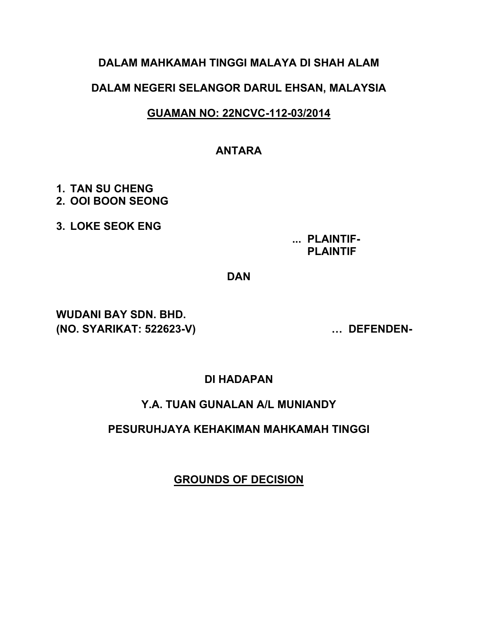## **DALAM MAHKAMAH TINGGI MALAYA DI SHAH ALAM**

## **DALAM NEGERI SELANGOR DARUL EHSAN, MALAYSIA**

## **GUAMAN NO: 22NCVC-112-03/2014**

## **ANTARA**

- **1. TAN SU CHENG 2. OOI BOON SEONG**
- **3. LOKE SEOK ENG**

**... PLAINTIF- PLAINTIF**

**DAN**

**WUDANI BAY SDN. BHD. (NO. SYARIKAT: 522623-V) … DEFENDEN-**

**DI HADAPAN**

### **Y.A. TUAN GUNALAN A/L MUNIANDY**

### **PESURUHJAYA KEHAKIMAN MAHKAMAH TINGGI**

**GROUNDS OF DECISION**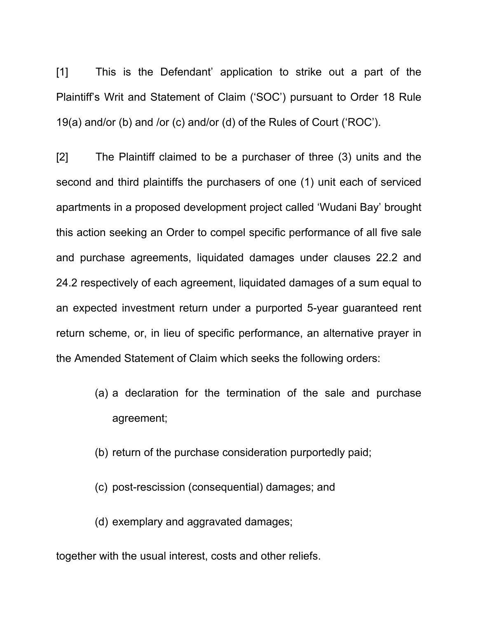[1] This is the Defendant' application to strike out a part of the Plaintiff's Writ and Statement of Claim ('SOC') pursuant to Order 18 Rule 19(a) and/or (b) and /or (c) and/or (d) of the Rules of Court ('ROC').

[2] The Plaintiff claimed to be a purchaser of three (3) units and the second and third plaintiffs the purchasers of one (1) unit each of serviced apartments in a proposed development project called 'Wudani Bay' brought this action seeking an Order to compel specific performance of all five sale and purchase agreements, liquidated damages under clauses 22.2 and 24.2 respectively of each agreement, liquidated damages of a sum equal to an expected investment return under a purported 5-year guaranteed rent return scheme, or, in lieu of specific performance, an alternative prayer in the Amended Statement of Claim which seeks the following orders:

- (a) a declaration for the termination of the sale and purchase agreement;
- (b) return of the purchase consideration purportedly paid;
- (c) post-rescission (consequential) damages; and

(d) exemplary and aggravated damages;

together with the usual interest, costs and other reliefs.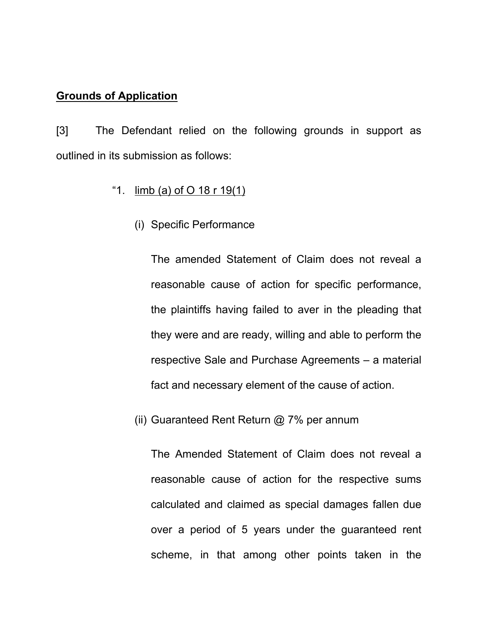### **Grounds of Application**

[3] The Defendant relied on the following grounds in support as outlined in its submission as follows:

## "1. limb (a) of O 18 r 19(1)

(i) Specific Performance

The amended Statement of Claim does not reveal a reasonable cause of action for specific performance, the plaintiffs having failed to aver in the pleading that they were and are ready, willing and able to perform the respective Sale and Purchase Agreements – a material fact and necessary element of the cause of action.

(ii) Guaranteed Rent Return @ 7% per annum

The Amended Statement of Claim does not reveal a reasonable cause of action for the respective sums calculated and claimed as special damages fallen due over a period of 5 years under the guaranteed rent scheme, in that among other points taken in the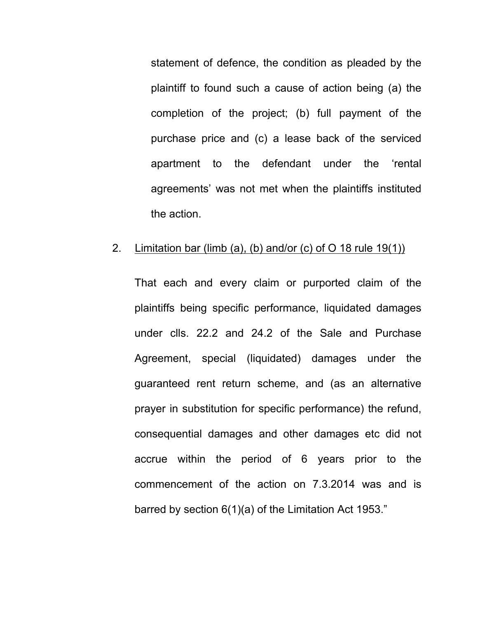statement of defence, the condition as pleaded by the plaintiff to found such a cause of action being (a) the completion of the project; (b) full payment of the purchase price and (c) a lease back of the serviced apartment to the defendant under the 'rental agreements' was not met when the plaintiffs instituted the action.

#### 2. Limitation bar (limb (a), (b) and/or (c) of O 18 rule 19(1))

That each and every claim or purported claim of the plaintiffs being specific performance, liquidated damages under clls. 22.2 and 24.2 of the Sale and Purchase Agreement, special (liquidated) damages under the guaranteed rent return scheme, and (as an alternative prayer in substitution for specific performance) the refund, consequential damages and other damages etc did not accrue within the period of 6 years prior to the commencement of the action on 7.3.2014 was and is barred by section 6(1)(a) of the Limitation Act 1953."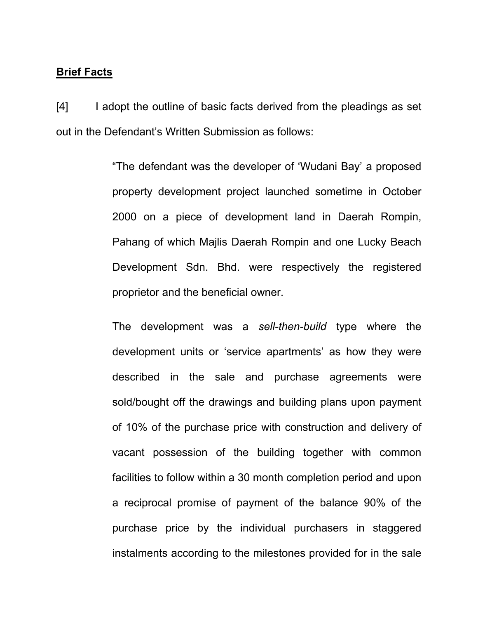#### **Brief Facts**

[4] I adopt the outline of basic facts derived from the pleadings as set out in the Defendant's Written Submission as follows:

> "The defendant was the developer of 'Wudani Bay' a proposed property development project launched sometime in October 2000 on a piece of development land in Daerah Rompin, Pahang of which Majlis Daerah Rompin and one Lucky Beach Development Sdn. Bhd. were respectively the registered proprietor and the beneficial owner.

> The development was a *sell-then-build* type where the development units or 'service apartments' as how they were described in the sale and purchase agreements were sold/bought off the drawings and building plans upon payment of 10% of the purchase price with construction and delivery of vacant possession of the building together with common facilities to follow within a 30 month completion period and upon a reciprocal promise of payment of the balance 90% of the purchase price by the individual purchasers in staggered instalments according to the milestones provided for in the sale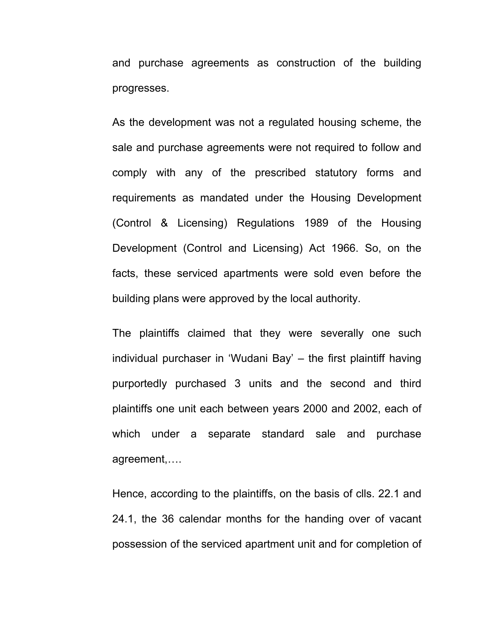and purchase agreements as construction of the building progresses.

As the development was not a regulated housing scheme, the sale and purchase agreements were not required to follow and comply with any of the prescribed statutory forms and requirements as mandated under the Housing Development (Control & Licensing) Regulations 1989 of the Housing Development (Control and Licensing) Act 1966. So, on the facts, these serviced apartments were sold even before the building plans were approved by the local authority.

The plaintiffs claimed that they were severally one such individual purchaser in 'Wudani Bay' – the first plaintiff having purportedly purchased 3 units and the second and third plaintiffs one unit each between years 2000 and 2002, each of which under a separate standard sale and purchase agreement,….

Hence, according to the plaintiffs, on the basis of clls. 22.1 and 24.1, the 36 calendar months for the handing over of vacant possession of the serviced apartment unit and for completion of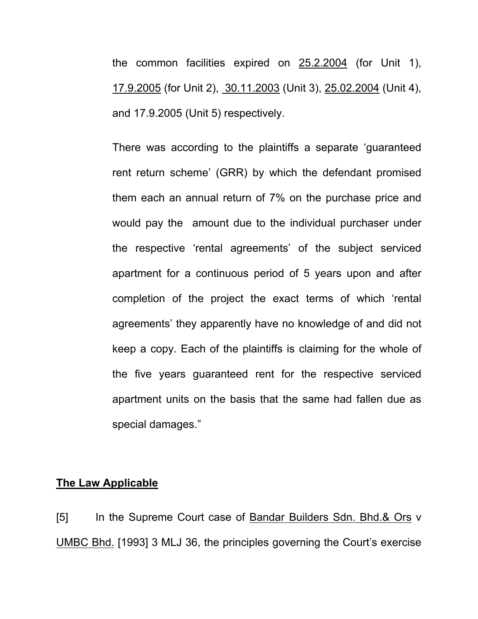the common facilities expired on 25.2.2004 (for Unit 1), 17.9.2005 (for Unit 2), 30.11.2003 (Unit 3), 25.02.2004 (Unit 4), and 17.9.2005 (Unit 5) respectively.

There was according to the plaintiffs a separate 'guaranteed rent return scheme' (GRR) by which the defendant promised them each an annual return of 7% on the purchase price and would pay the amount due to the individual purchaser under the respective 'rental agreements' of the subject serviced apartment for a continuous period of 5 years upon and after completion of the project the exact terms of which 'rental agreements' they apparently have no knowledge of and did not keep a copy. Each of the plaintiffs is claiming for the whole of the five years guaranteed rent for the respective serviced apartment units on the basis that the same had fallen due as special damages."

#### **The Law Applicable**

[5] In the Supreme Court case of Bandar Builders Sdn. Bhd.& Ors v UMBC Bhd. [1993] 3 MLJ 36, the principles governing the Court's exercise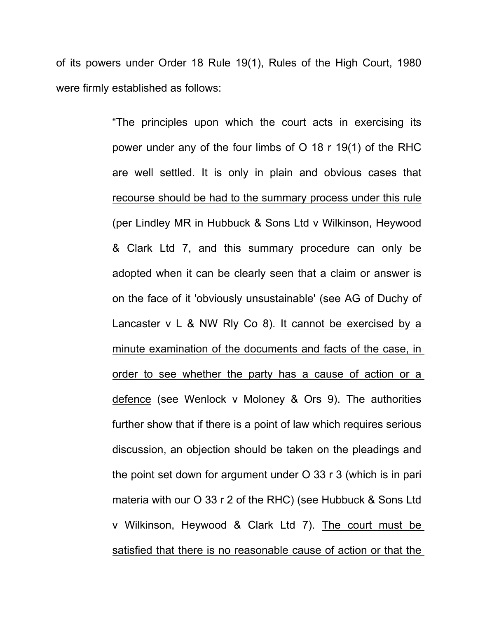of its powers under Order 18 Rule 19(1), Rules of the High Court, 1980 were firmly established as follows:

> "The principles upon which the court acts in exercising its power under any of the four limbs of O 18 r 19(1) of the RHC are well settled. It is only in plain and obvious cases that recourse should be had to the summary process under this rule (per Lindley MR in Hubbuck & Sons Ltd v Wilkinson, Heywood & Clark Ltd 7, and this summary procedure can only be adopted when it can be clearly seen that a claim or answer is on the face of it 'obviously unsustainable' (see AG of Duchy of Lancaster v L & NW Rly Co 8). It cannot be exercised by a minute examination of the documents and facts of the case, in order to see whether the party has a cause of action or a defence (see Wenlock v Moloney & Ors 9). The authorities further show that if there is a point of law which requires serious discussion, an objection should be taken on the pleadings and the point set down for argument under O 33 r 3 (which is in pari materia with our O 33 r 2 of the RHC) (see Hubbuck & Sons Ltd v Wilkinson, Heywood & Clark Ltd 7). The court must be satisfied that there is no reasonable cause of action or that the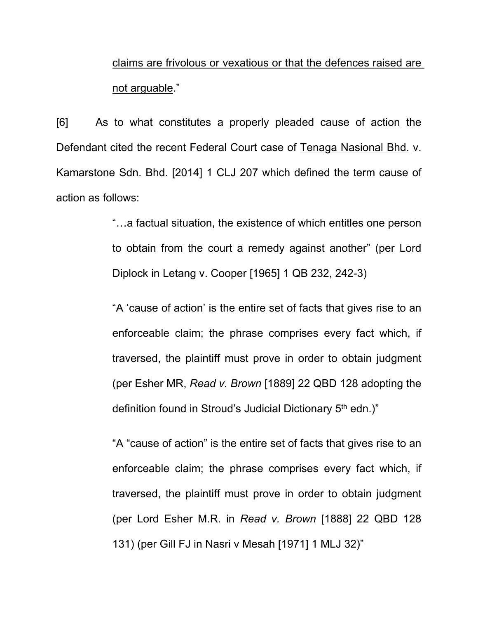claims are frivolous or vexatious or that the defences raised are not arguable."

[6] As to what constitutes a properly pleaded cause of action the Defendant cited the recent Federal Court case of Tenaga Nasional Bhd. v. Kamarstone Sdn. Bhd. [2014] 1 CLJ 207 which defined the term cause of action as follows:

> "…a factual situation, the existence of which entitles one person to obtain from the court a remedy against another" (per Lord Diplock in Letang v. Cooper [1965] 1 QB 232, 242-3)

> "A 'cause of action' is the entire set of facts that gives rise to an enforceable claim; the phrase comprises every fact which, if traversed, the plaintiff must prove in order to obtain judgment (per Esher MR, *Read v. Brown* [1889] 22 QBD 128 adopting the definition found in Stroud's Judicial Dictionary 5<sup>th</sup> edn.)"

> "A "cause of action" is the entire set of facts that gives rise to an enforceable claim; the phrase comprises every fact which, if traversed, the plaintiff must prove in order to obtain judgment (per Lord Esher M.R. in *Read v. Brown* [1888] 22 QBD 128 131) (per Gill FJ in Nasri v Mesah [1971] 1 MLJ 32)"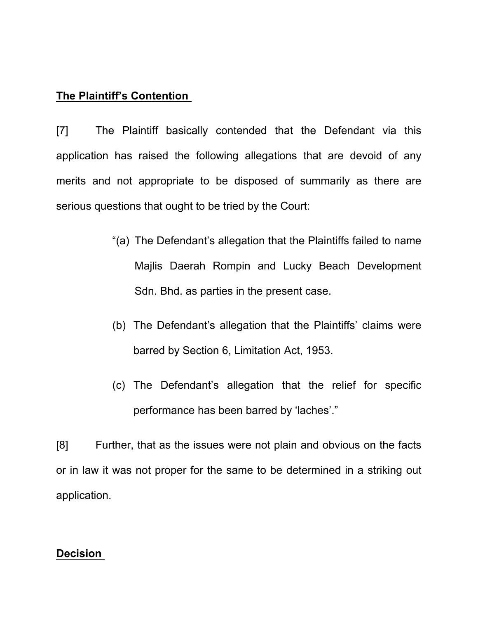## **The Plaintiff's Contention**

[7] The Plaintiff basically contended that the Defendant via this application has raised the following allegations that are devoid of any merits and not appropriate to be disposed of summarily as there are serious questions that ought to be tried by the Court:

- "(a) The Defendant's allegation that the Plaintiffs failed to name Majlis Daerah Rompin and Lucky Beach Development Sdn. Bhd. as parties in the present case.
- (b) The Defendant's allegation that the Plaintiffs' claims were barred by Section 6, Limitation Act, 1953.
- (c) The Defendant's allegation that the relief for specific performance has been barred by 'laches'."

[8] Further, that as the issues were not plain and obvious on the facts or in law it was not proper for the same to be determined in a striking out application.

### **Decision**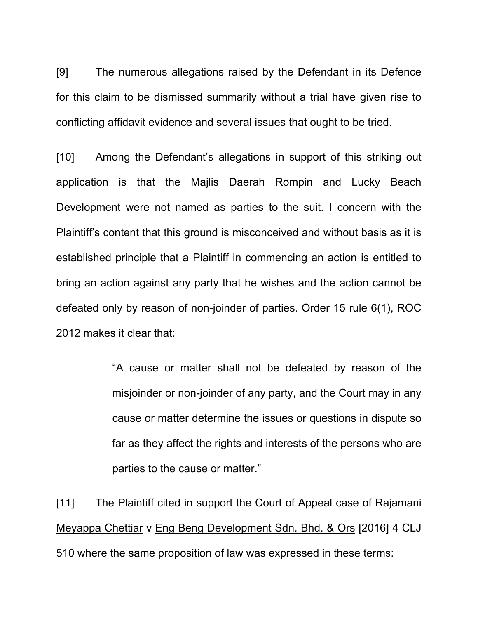[9] The numerous allegations raised by the Defendant in its Defence for this claim to be dismissed summarily without a trial have given rise to conflicting affidavit evidence and several issues that ought to be tried.

[10] Among the Defendant's allegations in support of this striking out application is that the Majlis Daerah Rompin and Lucky Beach Development were not named as parties to the suit. I concern with the Plaintiff's content that this ground is misconceived and without basis as it is established principle that a Plaintiff in commencing an action is entitled to bring an action against any party that he wishes and the action cannot be defeated only by reason of non-joinder of parties. Order 15 rule 6(1), ROC 2012 makes it clear that:

> "A cause or matter shall not be defeated by reason of the misjoinder or non-joinder of any party, and the Court may in any cause or matter determine the issues or questions in dispute so far as they affect the rights and interests of the persons who are parties to the cause or matter."

[11] The Plaintiff cited in support the Court of Appeal case of Rajamani Meyappa Chettiar v Eng Beng Development Sdn. Bhd. & Ors [2016] 4 CLJ 510 where the same proposition of law was expressed in these terms: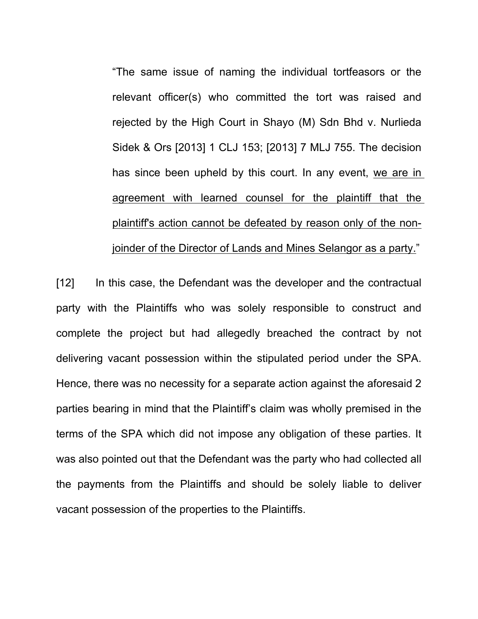"The same issue of naming the individual tortfeasors or the relevant officer(s) who committed the tort was raised and rejected by the High Court in Shayo (M) Sdn Bhd v. Nurlieda Sidek & Ors [2013] 1 CLJ 153; [2013] 7 MLJ 755. The decision has since been upheld by this court. In any event, we are in agreement with learned counsel for the plaintiff that the plaintiff's action cannot be defeated by reason only of the nonjoinder of the Director of Lands and Mines Selangor as a party."

[12] In this case, the Defendant was the developer and the contractual party with the Plaintiffs who was solely responsible to construct and complete the project but had allegedly breached the contract by not delivering vacant possession within the stipulated period under the SPA. Hence, there was no necessity for a separate action against the aforesaid 2 parties bearing in mind that the Plaintiff's claim was wholly premised in the terms of the SPA which did not impose any obligation of these parties. It was also pointed out that the Defendant was the party who had collected all the payments from the Plaintiffs and should be solely liable to deliver vacant possession of the properties to the Plaintiffs.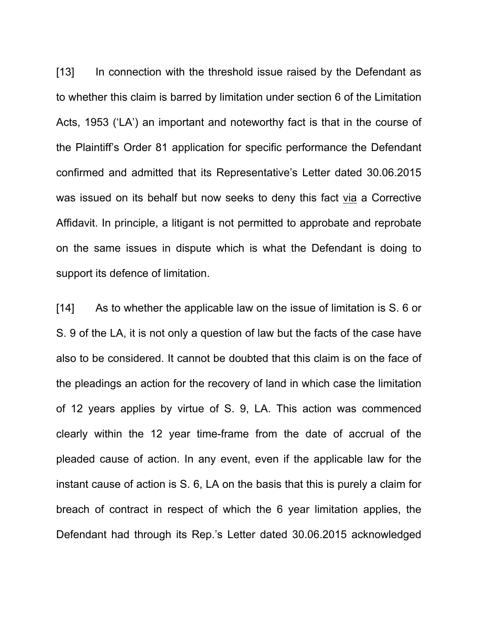[13] In connection with the threshold issue raised by the Defendant as to whether this claim is barred by limitation under section 6 of the Limitation Acts, 1953 ('LA') an important and noteworthy fact is that in the course of the Plaintiff's Order 81 application for specific performance the Defendant confirmed and admitted that its Representative's Letter dated 30.06.2015 was issued on its behalf but now seeks to deny this fact via a Corrective Affidavit. In principle, a litigant is not permitted to approbate and reprobate on the same issues in dispute which is what the Defendant is doing to support its defence of limitation.

[14] As to whether the applicable law on the issue of limitation is S. 6 or S. 9 of the LA, it is not only a question of law but the facts of the case have also to be considered. It cannot be doubted that this claim is on the face of the pleadings an action for the recovery of land in which case the limitation of 12 years applies by virtue of S. 9, LA. This action was commenced clearly within the 12 year time-frame from the date of accrual of the pleaded cause of action. In any event, even if the applicable law for the instant cause of action is S. 6, LA on the basis that this is purely a claim for breach of contract in respect of which the 6 year limitation applies, the Defendant had through its Rep.'s Letter dated 30.06.2015 acknowledged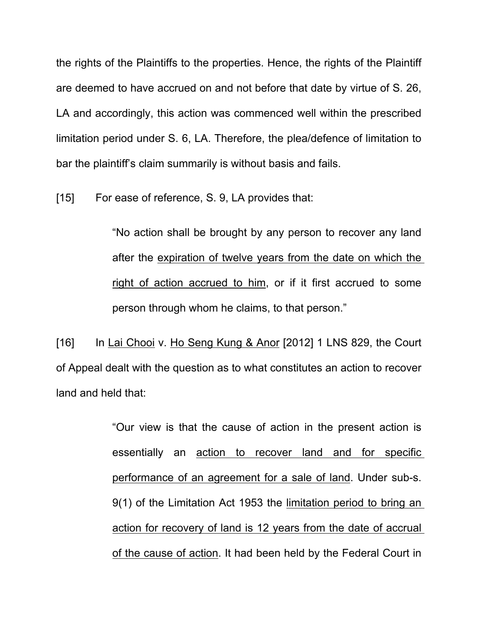the rights of the Plaintiffs to the properties. Hence, the rights of the Plaintiff are deemed to have accrued on and not before that date by virtue of S. 26, LA and accordingly, this action was commenced well within the prescribed limitation period under S. 6, LA. Therefore, the plea/defence of limitation to bar the plaintiff's claim summarily is without basis and fails.

[15] For ease of reference, S. 9, LA provides that:

"No action shall be brought by any person to recover any land after the expiration of twelve years from the date on which the right of action accrued to him, or if it first accrued to some person through whom he claims, to that person."

 $[16]$  In Lai Chooi v. Ho Seng Kung & Anor  $[2012]$  1 LNS 829, the Court of Appeal dealt with the question as to what constitutes an action to recover land and held that:

> "Our view is that the cause of action in the present action is essentially an action to recover land and for specific performance of an agreement for a sale of land. Under sub-s. 9(1) of the Limitation Act 1953 the limitation period to bring an action for recovery of land is 12 years from the date of accrual of the cause of action. It had been held by the Federal Court in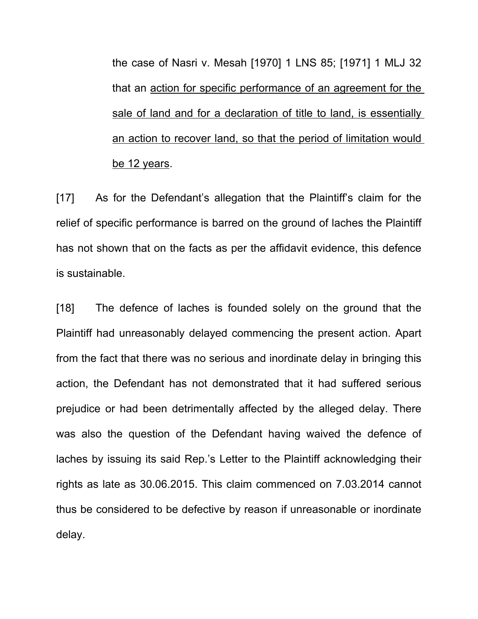the case of Nasri v. Mesah [1970] 1 LNS 85; [1971] 1 MLJ 32 that an action for specific performance of an agreement for the sale of land and for a declaration of title to land, is essentially an action to recover land, so that the period of limitation would be 12 years.

[17] As for the Defendant's allegation that the Plaintiff's claim for the relief of specific performance is barred on the ground of laches the Plaintiff has not shown that on the facts as per the affidavit evidence, this defence is sustainable.

[18] The defence of laches is founded solely on the ground that the Plaintiff had unreasonably delayed commencing the present action. Apart from the fact that there was no serious and inordinate delay in bringing this action, the Defendant has not demonstrated that it had suffered serious prejudice or had been detrimentally affected by the alleged delay. There was also the question of the Defendant having waived the defence of laches by issuing its said Rep.'s Letter to the Plaintiff acknowledging their rights as late as 30.06.2015. This claim commenced on 7.03.2014 cannot thus be considered to be defective by reason if unreasonable or inordinate delay.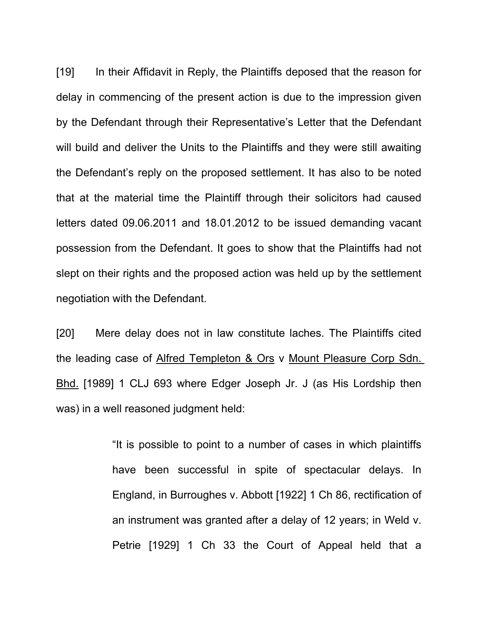[19] In their Affidavit in Reply, the Plaintiffs deposed that the reason for delay in commencing of the present action is due to the impression given by the Defendant through their Representative's Letter that the Defendant will build and deliver the Units to the Plaintiffs and they were still awaiting the Defendant's reply on the proposed settlement. It has also to be noted that at the material time the Plaintiff through their solicitors had caused letters dated 09.06.2011 and 18.01.2012 to be issued demanding vacant possession from the Defendant. It goes to show that the Plaintiffs had not slept on their rights and the proposed action was held up by the settlement negotiation with the Defendant.

[20] Mere delay does not in law constitute laches. The Plaintiffs cited the leading case of Alfred Templeton & Ors v Mount Pleasure Corp Sdn. Bhd. [1989] 1 CLJ 693 where Edger Joseph Jr. J (as His Lordship then was) in a well reasoned judgment held:

> "It is possible to point to a number of cases in which plaintiffs have been successful in spite of spectacular delays. In England, in Burroughes v. Abbott [1922] 1 Ch 86, rectification of an instrument was granted after a delay of 12 years; in Weld v. Petrie [1929] 1 Ch 33 the Court of Appeal held that a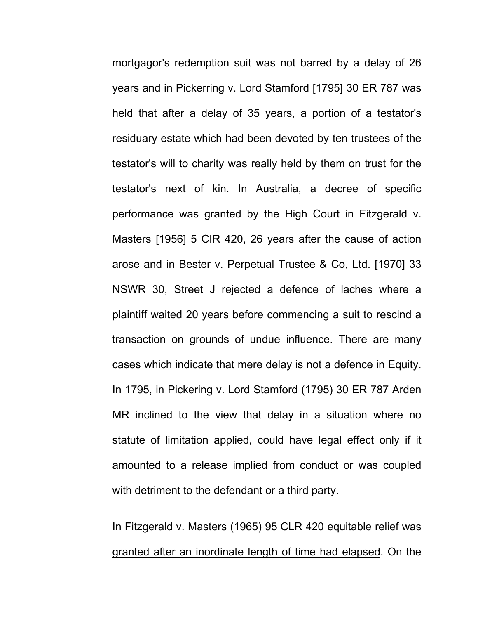mortgagor's redemption suit was not barred by a delay of 26 years and in Pickerring v. Lord Stamford [1795] 30 ER 787 was held that after a delay of 35 years, a portion of a testator's residuary estate which had been devoted by ten trustees of the testator's will to charity was really held by them on trust for the testator's next of kin. In Australia, a decree of specific performance was granted by the High Court in Fitzgerald v. Masters [1956] 5 CIR 420, 26 years after the cause of action arose and in Bester v. Perpetual Trustee & Co, Ltd. [1970] 33 NSWR 30, Street J rejected a defence of laches where a plaintiff waited 20 years before commencing a suit to rescind a transaction on grounds of undue influence. There are many cases which indicate that mere delay is not a defence in Equity. In 1795, in Pickering v. Lord Stamford (1795) 30 ER 787 Arden MR inclined to the view that delay in a situation where no statute of limitation applied, could have legal effect only if it amounted to a release implied from conduct or was coupled with detriment to the defendant or a third party.

In Fitzgerald v. Masters (1965) 95 CLR 420 equitable relief was granted after an inordinate length of time had elapsed. On the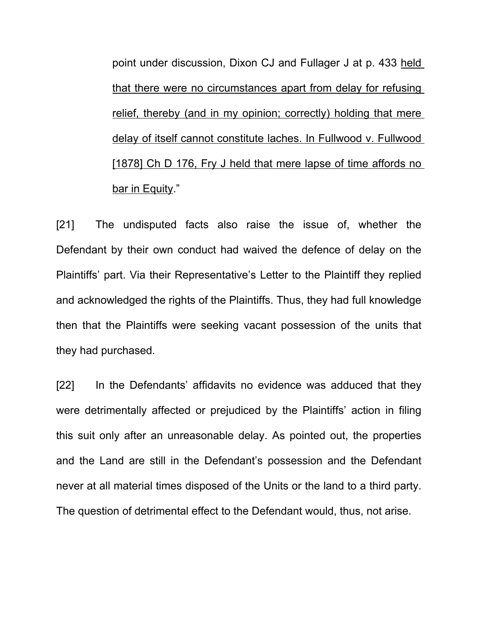point under discussion, Dixon CJ and Fullager J at p. 433 held that there were no circumstances apart from delay for refusing relief, thereby (and in my opinion; correctly) holding that mere delay of itself cannot constitute laches. In Fullwood v. Fullwood [1878] Ch D 176, Fry J held that mere lapse of time affords no bar in Equity."

[21] The undisputed facts also raise the issue of, whether the Defendant by their own conduct had waived the defence of delay on the Plaintiffs' part. Via their Representative's Letter to the Plaintiff they replied and acknowledged the rights of the Plaintiffs. Thus, they had full knowledge then that the Plaintiffs were seeking vacant possession of the units that they had purchased.

[22] In the Defendants' affidavits no evidence was adduced that they were detrimentally affected or prejudiced by the Plaintiffs' action in filing this suit only after an unreasonable delay. As pointed out, the properties and the Land are still in the Defendant's possession and the Defendant never at all material times disposed of the Units or the land to a third party. The question of detrimental effect to the Defendant would, thus, not arise.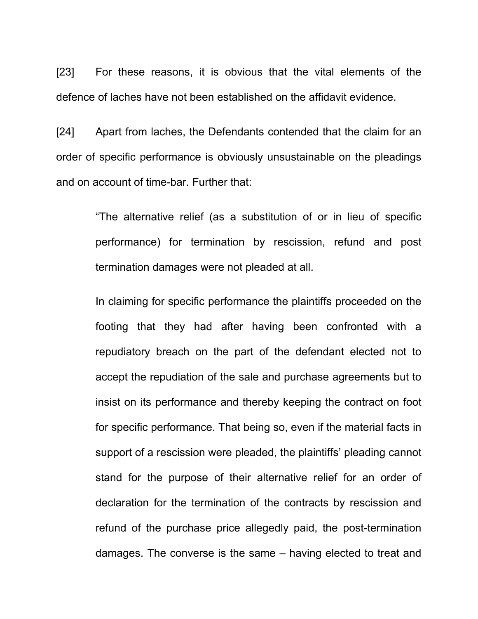[23] For these reasons, it is obvious that the vital elements of the defence of laches have not been established on the affidavit evidence.

[24] Apart from laches, the Defendants contended that the claim for an order of specific performance is obviously unsustainable on the pleadings and on account of time-bar. Further that:

> "The alternative relief (as a substitution of or in lieu of specific performance) for termination by rescission, refund and post termination damages were not pleaded at all.

> In claiming for specific performance the plaintiffs proceeded on the footing that they had after having been confronted with a repudiatory breach on the part of the defendant elected not to accept the repudiation of the sale and purchase agreements but to insist on its performance and thereby keeping the contract on foot for specific performance. That being so, even if the material facts in support of a rescission were pleaded, the plaintiffs' pleading cannot stand for the purpose of their alternative relief for an order of declaration for the termination of the contracts by rescission and refund of the purchase price allegedly paid, the post-termination damages. The converse is the same – having elected to treat and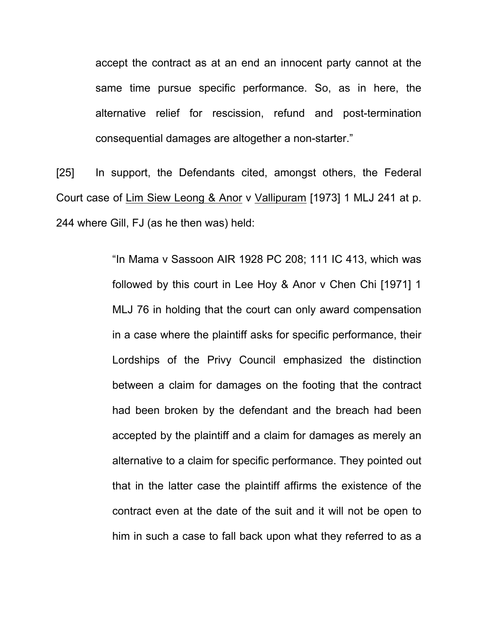accept the contract as at an end an innocent party cannot at the same time pursue specific performance. So, as in here, the alternative relief for rescission, refund and post-termination consequential damages are altogether a non-starter."

[25] In support, the Defendants cited, amongst others, the Federal Court case of Lim Siew Leong & Anor v Vallipuram [1973] 1 MLJ 241 at p. 244 where Gill, FJ (as he then was) held:

> "In Mama v Sassoon AIR 1928 PC 208; 111 IC 413, which was followed by this court in Lee Hoy & Anor v Chen Chi [1971] 1 MLJ 76 in holding that the court can only award compensation in a case where the plaintiff asks for specific performance, their Lordships of the Privy Council emphasized the distinction between a claim for damages on the footing that the contract had been broken by the defendant and the breach had been accepted by the plaintiff and a claim for damages as merely an alternative to a claim for specific performance. They pointed out that in the latter case the plaintiff affirms the existence of the contract even at the date of the suit and it will not be open to him in such a case to fall back upon what they referred to as a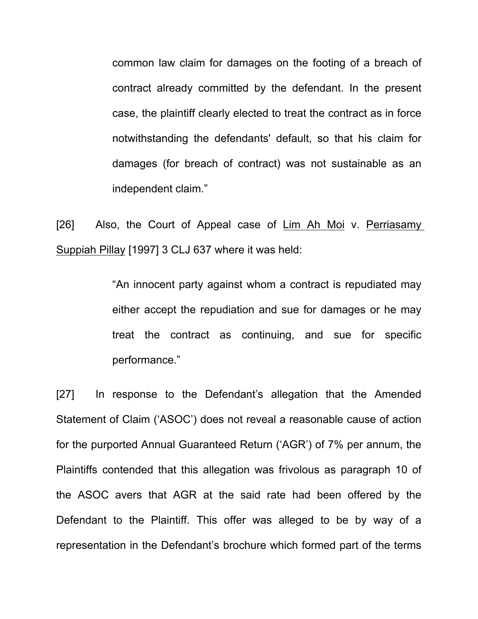common law claim for damages on the footing of a breach of contract already committed by the defendant. In the present case, the plaintiff clearly elected to treat the contract as in force notwithstanding the defendants' default, so that his claim for damages (for breach of contract) was not sustainable as an independent claim."

[26] Also, the Court of Appeal case of Lim Ah Moi v. Perriasamy Suppiah Pillay [1997] 3 CLJ 637 where it was held:

> "An innocent party against whom a contract is repudiated may either accept the repudiation and sue for damages or he may treat the contract as continuing, and sue for specific performance."

[27] In response to the Defendant's allegation that the Amended Statement of Claim ('ASOC') does not reveal a reasonable cause of action for the purported Annual Guaranteed Return ('AGR') of 7% per annum, the Plaintiffs contended that this allegation was frivolous as paragraph 10 of the ASOC avers that AGR at the said rate had been offered by the Defendant to the Plaintiff. This offer was alleged to be by way of a representation in the Defendant's brochure which formed part of the terms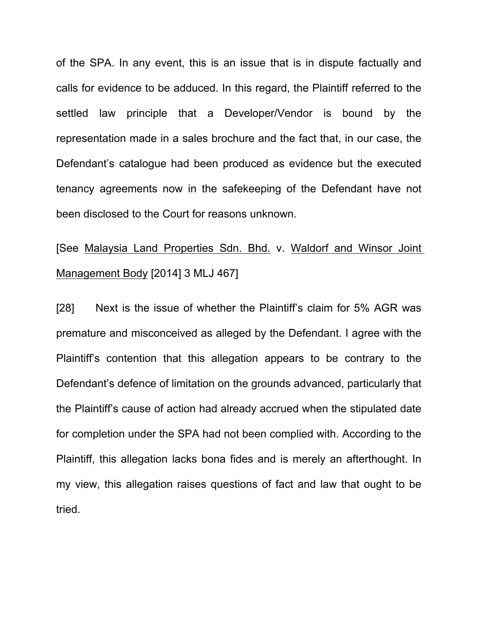of the SPA. In any event, this is an issue that is in dispute factually and calls for evidence to be adduced. In this regard, the Plaintiff referred to the settled law principle that a Developer/Vendor is bound by the representation made in a sales brochure and the fact that, in our case, the Defendant's catalogue had been produced as evidence but the executed tenancy agreements now in the safekeeping of the Defendant have not been disclosed to the Court for reasons unknown.

[See Malaysia Land Properties Sdn. Bhd. v. Waldorf and Winsor Joint Management Body [2014] 3 MLJ 467]

[28] Next is the issue of whether the Plaintiff's claim for 5% AGR was premature and misconceived as alleged by the Defendant. I agree with the Plaintiff's contention that this allegation appears to be contrary to the Defendant's defence of limitation on the grounds advanced, particularly that the Plaintiff's cause of action had already accrued when the stipulated date for completion under the SPA had not been complied with. According to the Plaintiff, this allegation lacks bona fides and is merely an afterthought. In my view, this allegation raises questions of fact and law that ought to be tried.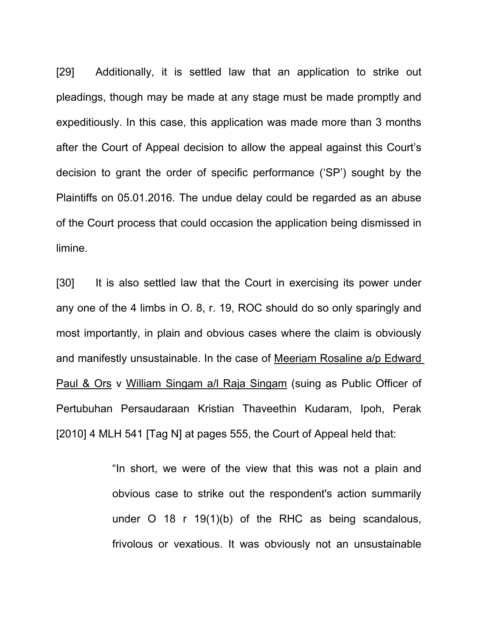[29] Additionally, it is settled law that an application to strike out pleadings, though may be made at any stage must be made promptly and expeditiously. In this case, this application was made more than 3 months after the Court of Appeal decision to allow the appeal against this Court's decision to grant the order of specific performance ('SP') sought by the Plaintiffs on 05.01.2016. The undue delay could be regarded as an abuse of the Court process that could occasion the application being dismissed in limine.

[30] It is also settled law that the Court in exercising its power under any one of the 4 limbs in O. 8, r. 19, ROC should do so only sparingly and most importantly, in plain and obvious cases where the claim is obviously and manifestly unsustainable. In the case of Meeriam Rosaline a/p Edward Paul & Ors v William Singam a/l Raja Singam (suing as Public Officer of Pertubuhan Persaudaraan Kristian Thaveethin Kudaram, Ipoh, Perak [2010] 4 MLH 541 [Tag N] at pages 555, the Court of Appeal held that:

> "In short, we were of the view that this was not a plain and obvious case to strike out the respondent's action summarily under O 18 r 19(1)(b) of the RHC as being scandalous, frivolous or vexatious. It was obviously not an unsustainable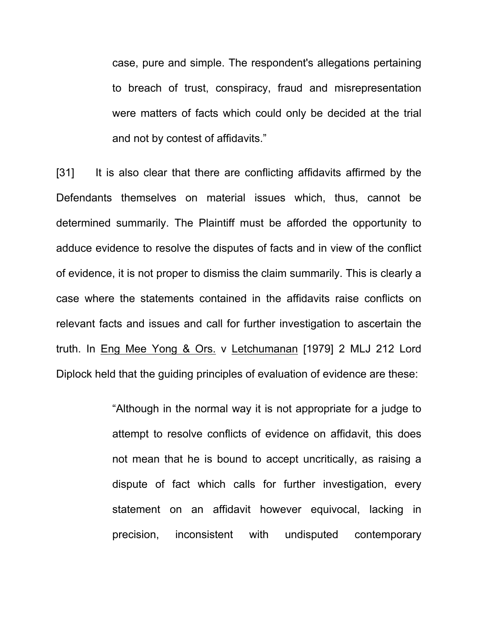case, pure and simple. The respondent's allegations pertaining to breach of trust, conspiracy, fraud and misrepresentation were matters of facts which could only be decided at the trial and not by contest of affidavits."

[31] It is also clear that there are conflicting affidavits affirmed by the Defendants themselves on material issues which, thus, cannot be determined summarily. The Plaintiff must be afforded the opportunity to adduce evidence to resolve the disputes of facts and in view of the conflict of evidence, it is not proper to dismiss the claim summarily. This is clearly a case where the statements contained in the affidavits raise conflicts on relevant facts and issues and call for further investigation to ascertain the truth. In Eng Mee Yong & Ors. v Letchumanan [1979] 2 MLJ 212 Lord Diplock held that the guiding principles of evaluation of evidence are these:

> "Although in the normal way it is not appropriate for a judge to attempt to resolve conflicts of evidence on affidavit, this does not mean that he is bound to accept uncritically, as raising a dispute of fact which calls for further investigation, every statement on an affidavit however equivocal, lacking in precision, inconsistent with undisputed contemporary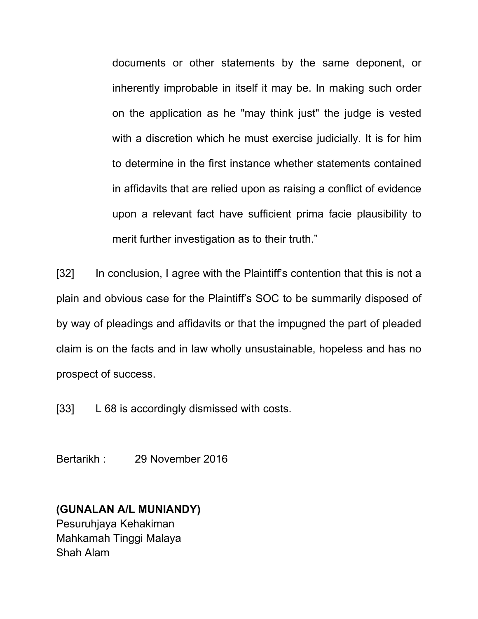documents or other statements by the same deponent, or inherently improbable in itself it may be. In making such order on the application as he "may think just" the judge is vested with a discretion which he must exercise judicially. It is for him to determine in the first instance whether statements contained in affidavits that are relied upon as raising a conflict of evidence upon a relevant fact have sufficient prima facie plausibility to merit further investigation as to their truth."

[32] In conclusion, I agree with the Plaintiff's contention that this is not a plain and obvious case for the Plaintiff's SOC to be summarily disposed of by way of pleadings and affidavits or that the impugned the part of pleaded claim is on the facts and in law wholly unsustainable, hopeless and has no prospect of success.

[33] L 68 is accordingly dismissed with costs.

Bertarikh : 29 November 2016

## **(GUNALAN A/L MUNIANDY)**

Pesuruhjaya Kehakiman Mahkamah Tinggi Malaya Shah Alam